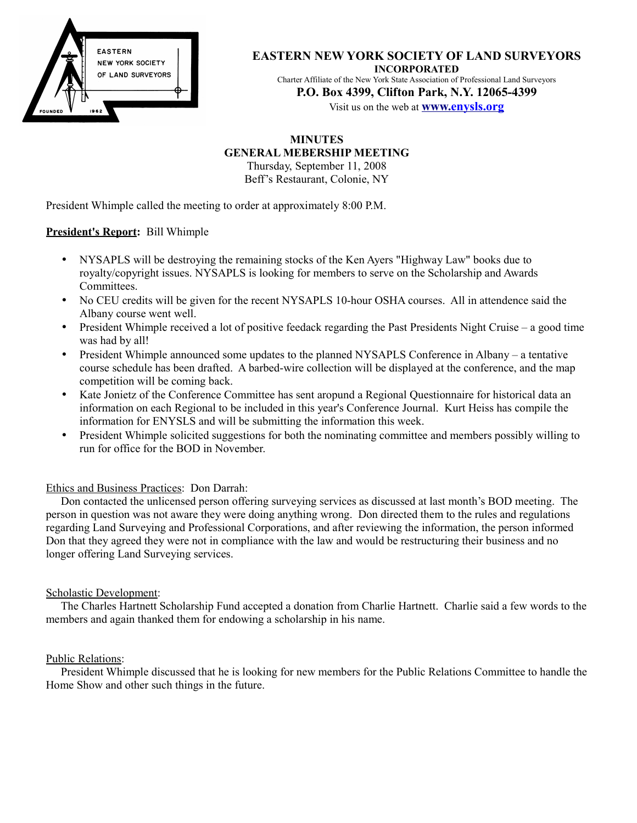

#### **EASTERN NEW YORK SOCIETY OF LAND SURVEYORS INCORPORATED**

Charter Affiliate of the New York State Association of Professional Land Surveyors **P.O. Box 4399, Clifton Park, N.Y. 12065-4399**

Visit us on the web at **[www. e](http://www.enysls.org/)nysls.org**

### **MINUTES**

#### **GENERAL MEBERSHIP MEETING**

Thursday, September 11, 2008 Beff's Restaurant, Colonie, NY

President Whimple called the meeting to order at approximately 8:00 P.M.

#### **President's Report:** Bill Whimple

- NYSAPLS will be destroying the remaining stocks of the Ken Ayers "Highway Law" books due to royalty/copyright issues. NYSAPLS is looking for members to serve on the Scholarship and Awards Committees.
- No CEU credits will be given for the recent NYSAPLS 10-hour OSHA courses. All in attendence said the Albany course went well.
- President Whimple received a lot of positive feedack regarding the Past Presidents Night Cruise a good time was had by all!
- President Whimple announced some updates to the planned NYSAPLS Conference in Albany a tentative course schedule has been drafted. A barbed-wire collection will be displayed at the conference, and the map competition will be coming back.
- Kate Jonietz of the Conference Committee has sent aropund a Regional Questionnaire for historical data an information on each Regional to be included in this year's Conference Journal. Kurt Heiss has compile the information for ENYSLS and will be submitting the information this week.
- President Whimple solicited suggestions for both the nominating committee and members possibly willing to run for office for the BOD in November.

#### Ethics and Business Practices: Don Darrah:

Don contacted the unlicensed person offering surveying services as discussed at last month's BOD meeting. The person in question was not aware they were doing anything wrong. Don directed them to the rules and regulations regarding Land Surveying and Professional Corporations, and after reviewing the information, the person informed Don that they agreed they were not in compliance with the law and would be restructuring their business and no longer offering Land Surveying services.

#### Scholastic Development:

The Charles Hartnett Scholarship Fund accepted a donation from Charlie Hartnett. Charlie said a few words to the members and again thanked them for endowing a scholarship in his name.

#### Public Relations:

President Whimple discussed that he is looking for new members for the Public Relations Committee to handle the Home Show and other such things in the future.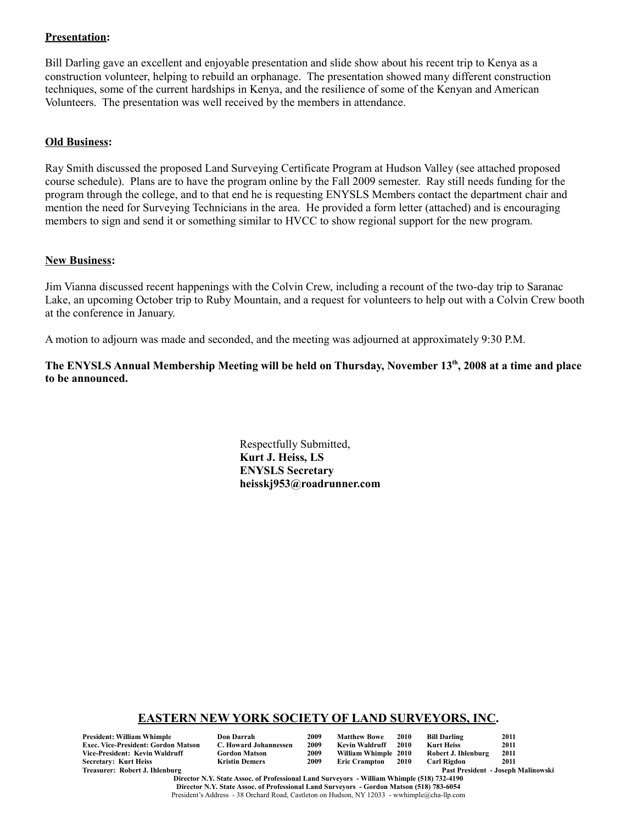#### **Presentation:**

Bill Darling gave an excellent and enjoyable presentation and slide show about his recent trip to Kenya as a construction volunteer, helping to rebuild an orphanage. The presentation showed many different construction techniques, some of the current hardships in Kenya, and the resilience of some of the Kenyan and American Volunteers. The presentation was well received by the members in attendance.

#### **Old Business:**

Ray Smith discussed the proposed Land Surveying Certificate Program at Hudson Valley (see attached proposed course schedule). Plans are to have the program online by the Fall 2009 semester. Ray still needs funding for the program through the college, and to that end he is requesting ENYSLS Members contact the department chair and mention the need for Surveying Technicians in the area. He provided a form letter (attached) and is encouraging members to sign and send it or something similar to HVCC to show regional support for the new program.

#### **New Business:**

Jim Vianna discussed recent happenings with the Colvin Crew, including a recount of the two-day trip to Saranac Lake, an upcoming October trip to Ruby Mountain, and a request for volunteers to help out with a Colvin Crew booth at the conference in January.

A motion to adjourn was made and seconded, and the meeting was adjourned at approximately 9:30 P.M.

**The ENYSLS Annual Membership Meeting will be held on Thursday, November 13th, 2008 at a time and place to be announced.**

> Respectfully Submitted, **Kurt J. Heiss, LS ENYSLS Secretary heisskj953@roadrunner.com**

### **EASTERN NEW YORK SOCIETY OF LAND SURVEYORS, INC.**

**President: William Whimple Don Darrah 2009 Matthew Bowe 2010 Bill Darling 2011 Exec. Vice-President: Gordon Matson C. Howard Johannessen 2009 Kevin Waldruff 2010 Kurt Heiss 2011**  $Vice-President: Kevin Waldruff$ **Secretary: Kurt Heiss Kristin Demers 2009 Eric Crampton 2010 Carl Rigdon 2011**

| )on Darrah            |
|-----------------------|
| C. Howard Johannesser |
| Gordon Matson         |
| Kristin Demers        |

Past President - Joseph Malinowski

**Director N.Y. State Assoc. of Professional Land Surveyors - William Whimple (518) 732-4190 Director N.Y. State Assoc. of Professional Land Surveyors - Gordon Matson (518) 783-6054** President's Address - 38 Orchard Road, Castleton on Hudson, NY 12033 - wwhimple@cha-llp.com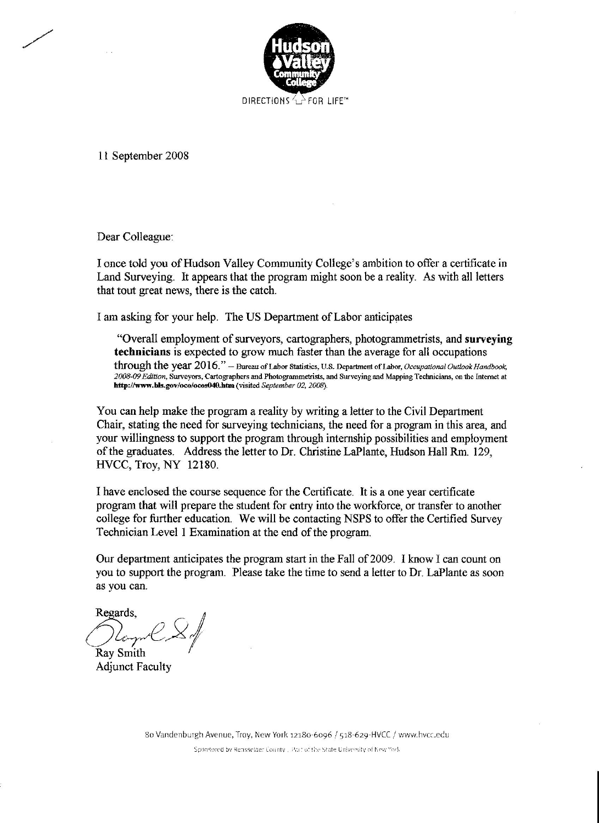

11 September 2008

Dear Colleague:

I once told you of Hudson Valley Community College's ambition to offer a certificate in Land Surveying. It appears that the program might soon be a reality. As with all letters that tout great news, there is the catch.

I am asking for your help. The US Department of Labor anticipates

"Overall employment of surveyors, cartographers, photogrammetrists, and surveying technicians is expected to grow much faster than the average for all occupations through the year 2016." - Bureau of Labor Statistics, U.S. Department of Labor, Occupational Outlook Handbook, 2008-09 Edition, Surveyors, Cartographers and Photogrammetrists, and Surveying and Mapping Technicians, on the Internet at http://www.bls.gov/oco/ocos040.htm (visited September 02, 2008).

You can help make the program a reality by writing a letter to the Civil Department Chair, stating the need for surveying technicians, the need for a program in this area, and your willingness to support the program through internship possibilities and employment of the graduates. Address the letter to Dr. Christine LaPlante, Hudson Hall Rm. 129, HVCC, Troy, NY 12180.

I have enclosed the course sequence for the Certificate. It is a one year certificate program that will prepare the student for entry into the workforce, or transfer to another college for further education. We will be contacting NSPS to offer the Certified Survey Technician Level 1 Examination at the end of the program.

Our department anticipates the program start in the Fall of 2009. I know I can count on you to support the program. Please take the time to send a letter to Dr. LaPlante as soon as you can.

Regards. **Ray Smith** 

**Adjunct Faculty**